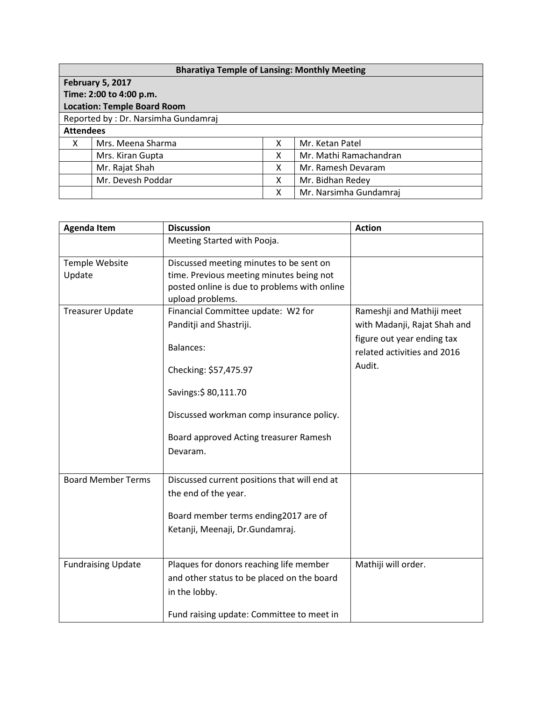| <b>Bharatiya Temple of Lansing: Monthly Meeting</b> |                   |   |                        |  |  |  |
|-----------------------------------------------------|-------------------|---|------------------------|--|--|--|
| <b>February 5, 2017</b>                             |                   |   |                        |  |  |  |
| Time: 2:00 to 4:00 p.m.                             |                   |   |                        |  |  |  |
| <b>Location: Temple Board Room</b>                  |                   |   |                        |  |  |  |
| Reported by: Dr. Narsimha Gundamraj                 |                   |   |                        |  |  |  |
| <b>Attendees</b>                                    |                   |   |                        |  |  |  |
| X                                                   | Mrs. Meena Sharma | x | Mr. Ketan Patel        |  |  |  |
|                                                     | Mrs. Kiran Gupta  | x | Mr. Mathi Ramachandran |  |  |  |
|                                                     | Mr. Rajat Shah    | x | Mr. Ramesh Devaram     |  |  |  |
|                                                     | Mr. Devesh Poddar | x | Mr. Bidhan Redey       |  |  |  |
|                                                     |                   | х | Mr. Narsimha Gundamraj |  |  |  |

| <b>Agenda Item</b>        | <b>Discussion</b>                            | <b>Action</b>                |
|---------------------------|----------------------------------------------|------------------------------|
|                           | Meeting Started with Pooja.                  |                              |
| Temple Website            | Discussed meeting minutes to be sent on      |                              |
| Update                    | time. Previous meeting minutes being not     |                              |
|                           | posted online is due to problems with online |                              |
|                           | upload problems.                             |                              |
| <b>Treasurer Update</b>   | Financial Committee update: W2 for           | Rameshji and Mathiji meet    |
|                           | Panditji and Shastriji.                      | with Madanji, Rajat Shah and |
|                           |                                              | figure out year ending tax   |
|                           | <b>Balances:</b>                             | related activities and 2016  |
|                           | Checking: \$57,475.97                        | Audit.                       |
|                           | Savings: \$80,111.70                         |                              |
|                           | Discussed workman comp insurance policy.     |                              |
|                           | Board approved Acting treasurer Ramesh       |                              |
|                           | Devaram.                                     |                              |
|                           |                                              |                              |
| <b>Board Member Terms</b> | Discussed current positions that will end at |                              |
|                           | the end of the year.                         |                              |
|                           |                                              |                              |
|                           | Board member terms ending2017 are of         |                              |
|                           | Ketanji, Meenaji, Dr.Gundamraj.              |                              |
|                           |                                              |                              |
| <b>Fundraising Update</b> | Plaques for donors reaching life member      | Mathiji will order.          |
|                           | and other status to be placed on the board   |                              |
|                           | in the lobby.                                |                              |
|                           | Fund raising update: Committee to meet in    |                              |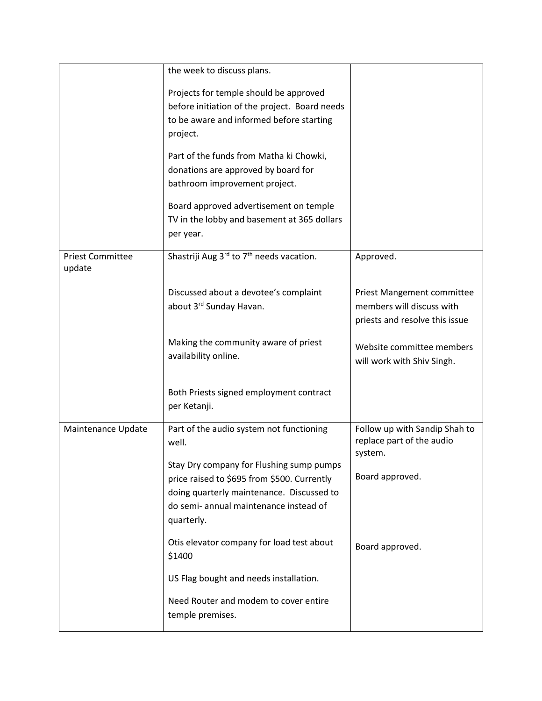|                                   | the week to discuss plans.                                                                                                                                                                   |                                                                                           |
|-----------------------------------|----------------------------------------------------------------------------------------------------------------------------------------------------------------------------------------------|-------------------------------------------------------------------------------------------|
|                                   | Projects for temple should be approved<br>before initiation of the project. Board needs<br>to be aware and informed before starting<br>project.                                              |                                                                                           |
|                                   | Part of the funds from Matha ki Chowki,<br>donations are approved by board for<br>bathroom improvement project.                                                                              |                                                                                           |
|                                   | Board approved advertisement on temple<br>TV in the lobby and basement at 365 dollars<br>per year.                                                                                           |                                                                                           |
| <b>Priest Committee</b><br>update | Shastriji Aug 3rd to 7 <sup>th</sup> needs vacation.                                                                                                                                         | Approved.                                                                                 |
|                                   | Discussed about a devotee's complaint<br>about 3rd Sunday Havan.                                                                                                                             | Priest Mangement committee<br>members will discuss with<br>priests and resolve this issue |
|                                   | Making the community aware of priest<br>availability online.                                                                                                                                 | Website committee members<br>will work with Shiv Singh.                                   |
|                                   | Both Priests signed employment contract<br>per Ketanji.                                                                                                                                      |                                                                                           |
| Maintenance Update                | Part of the audio system not functioning<br>well.                                                                                                                                            | Follow up with Sandip Shah to<br>replace part of the audio<br>system.                     |
|                                   | Stay Dry company for Flushing sump pumps<br>price raised to \$695 from \$500. Currently<br>doing quarterly maintenance. Discussed to<br>do semi- annual maintenance instead of<br>quarterly. | Board approved.                                                                           |
|                                   | Otis elevator company for load test about<br>\$1400                                                                                                                                          | Board approved.                                                                           |
|                                   | US Flag bought and needs installation.                                                                                                                                                       |                                                                                           |
|                                   | Need Router and modem to cover entire<br>temple premises.                                                                                                                                    |                                                                                           |